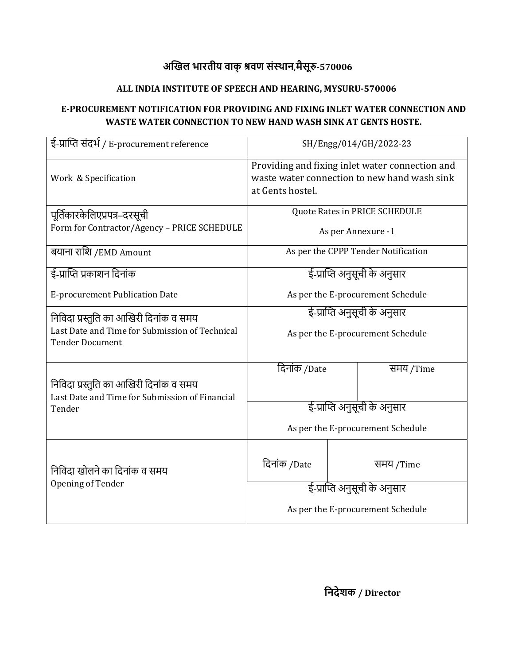## अखिल भारतीय वाक् श्रवण संस्थान,मैसूरु-570006

## ALL INDIA INSTITUTE OF SPEECH AND HEARING, MYSURU-570006

#### E-PROCUREMENT NOTIFICATION FOR PROVIDING AND FIXING INLET WATER CONNECTION AND WASTE WATER CONNECTION TO NEW HAND WASH SINK AT GENTS HOSTE.

| ई-प्राप्ति संदर्भ / E-procurement reference                                              | SH/Engg/014/GH/2022-23                                                                                              |           |           |  |  |
|------------------------------------------------------------------------------------------|---------------------------------------------------------------------------------------------------------------------|-----------|-----------|--|--|
| Work & Specification                                                                     | Providing and fixing inlet water connection and<br>waste water connection to new hand wash sink<br>at Gents hostel. |           |           |  |  |
| पूर्तिकारकेलिएप्रपत्र–दरसूची                                                             | Quote Rates in PRICE SCHEDULE                                                                                       |           |           |  |  |
| Form for Contractor/Agency - PRICE SCHEDULE                                              | As per Annexure -1                                                                                                  |           |           |  |  |
| बयाना राशि /EMD Amount                                                                   | As per the CPPP Tender Notification                                                                                 |           |           |  |  |
| ई-प्राप्ति प्रकाशन दिनांक                                                                | ई-प्राप्ति अनुसूची के अनुसार                                                                                        |           |           |  |  |
| <b>E-procurement Publication Date</b>                                                    | As per the E-procurement Schedule                                                                                   |           |           |  |  |
| निविदा प्रस्तुति का आखिरी दिनांक व समय                                                   | ई-प्राप्ति अनुसूची के अनुसार                                                                                        |           |           |  |  |
| Last Date and Time for Submission of Technical<br><b>Tender Document</b>                 | As per the E-procurement Schedule                                                                                   |           |           |  |  |
|                                                                                          | दिनांक /Date                                                                                                        |           | समय /Time |  |  |
| निविदा प्रस्तुति का आखिरी दिनांक व समय<br>Last Date and Time for Submission of Financial |                                                                                                                     |           |           |  |  |
| Tender                                                                                   | ई-प्राप्ति अनुसूची के अनुसार                                                                                        |           |           |  |  |
|                                                                                          | As per the E-procurement Schedule                                                                                   |           |           |  |  |
| निविदा खोलने का दिनांक व समय<br>Opening of Tender                                        | दिनांक /Date                                                                                                        | समय /Time |           |  |  |
|                                                                                          | ई-प्राप्ति अनुसूची के अनुसार                                                                                        |           |           |  |  |
|                                                                                          | As per the E-procurement Schedule                                                                                   |           |           |  |  |

िनदेशक / Director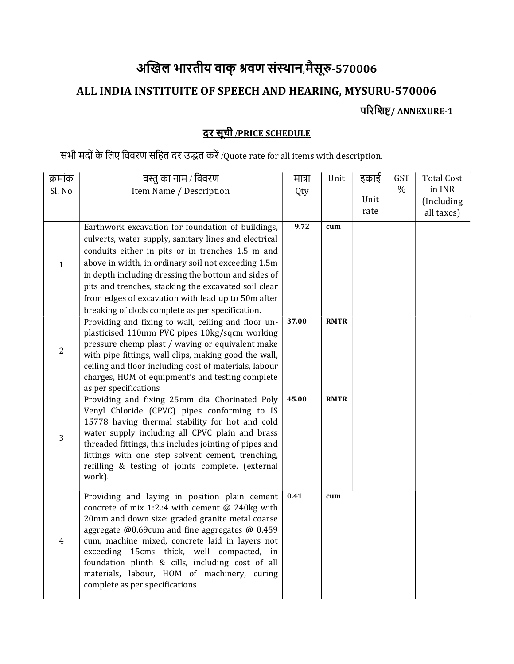# अखिल भारतीय वाक् श्रवण संस्थान,मैसूरु-570006 ALL INDIA INSTITUITE OF SPEECH AND HEARING, MYSURU-570006

परिशिष्ट/ ANNEXURE-1

## दर सूची /PRICE SCHEDULE

## सभी मदों के लिए विवरण सहित दर उद्धत करें /Quote rate for all items with description.

| क्रमांक        | वस्तु का नाम / विवरण                                                                            | मात्रा | Unit        | इकाई | <b>GST</b>    | <b>Total Cost</b> |
|----------------|-------------------------------------------------------------------------------------------------|--------|-------------|------|---------------|-------------------|
| Sl. No         | Item Name / Description                                                                         | Qty    |             |      | $\frac{0}{0}$ | in INR            |
|                |                                                                                                 |        |             | Unit |               | (Including        |
|                |                                                                                                 |        |             | rate |               | all taxes)        |
|                | Earthwork excavation for foundation of buildings,                                               | 9.72   | cum         |      |               |                   |
|                | culverts, water supply, sanitary lines and electrical                                           |        |             |      |               |                   |
|                | conduits either in pits or in trenches 1.5 m and                                                |        |             |      |               |                   |
| $\mathbf{1}$   | above in width, in ordinary soil not exceeding 1.5m                                             |        |             |      |               |                   |
|                | in depth including dressing the bottom and sides of                                             |        |             |      |               |                   |
|                | pits and trenches, stacking the excavated soil clear                                            |        |             |      |               |                   |
|                | from edges of excavation with lead up to 50m after                                              |        |             |      |               |                   |
|                | breaking of clods complete as per specification.                                                |        |             |      |               |                   |
|                | Providing and fixing to wall, ceiling and floor un-                                             | 37.00  | <b>RMTR</b> |      |               |                   |
|                | plasticised 110mm PVC pipes 10kg/sqcm working                                                   |        |             |      |               |                   |
| $\overline{2}$ | pressure chemp plast / waving or equivalent make                                                |        |             |      |               |                   |
|                | with pipe fittings, wall clips, making good the wall,                                           |        |             |      |               |                   |
|                | ceiling and floor including cost of materials, labour                                           |        |             |      |               |                   |
|                | charges, HOM of equipment's and testing complete                                                |        |             |      |               |                   |
|                | as per specifications                                                                           | 45.00  |             |      |               |                   |
|                | Providing and fixing 25mm dia Chorinated Poly                                                   |        | <b>RMTR</b> |      |               |                   |
| 3              | Venyl Chloride (CPVC) pipes conforming to IS<br>15778 having thermal stability for hot and cold |        |             |      |               |                   |
|                | water supply including all CPVC plain and brass                                                 |        |             |      |               |                   |
|                | threaded fittings, this includes jointing of pipes and                                          |        |             |      |               |                   |
|                | fittings with one step solvent cement, trenching,                                               |        |             |      |               |                   |
|                | refilling & testing of joints complete. (external                                               |        |             |      |               |                   |
|                | work).                                                                                          |        |             |      |               |                   |
|                |                                                                                                 |        |             |      |               |                   |
| $\overline{4}$ | Providing and laying in position plain cement                                                   | 0.41   | cum         |      |               |                   |
|                | concrete of mix 1:2.:4 with cement $@$ 240kg with                                               |        |             |      |               |                   |
|                | 20mm and down size: graded granite metal coarse                                                 |        |             |      |               |                   |
|                | aggregate @0.69cum and fine aggregates @ 0.459                                                  |        |             |      |               |                   |
|                | cum, machine mixed, concrete laid in layers not                                                 |        |             |      |               |                   |
|                | exceeding 15cms thick, well compacted, in                                                       |        |             |      |               |                   |
|                | foundation plinth & cills, including cost of all<br>materials, labour, HOM of machinery, curing |        |             |      |               |                   |
|                | complete as per specifications                                                                  |        |             |      |               |                   |
|                |                                                                                                 |        |             |      |               |                   |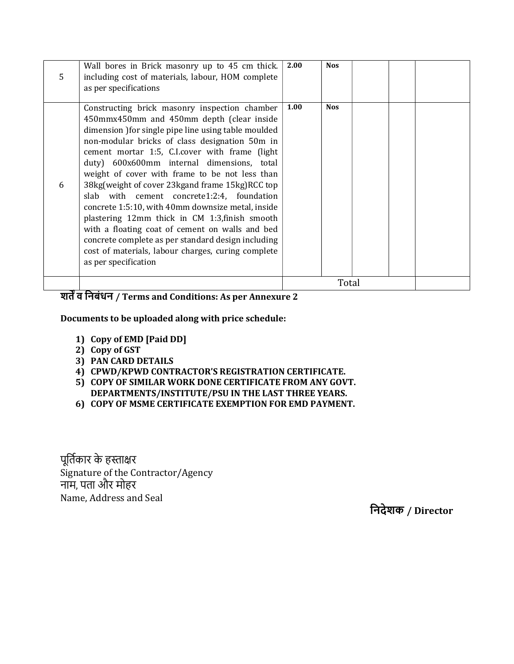| 5 | Wall bores in Brick masonry up to 45 cm thick.<br>including cost of materials, labour, HOM complete<br>as per specifications                                                                                                                                                                                                                                                                                                                                                                                                                                                                                                                                                                                                                          | 2.00  | <b>Nos</b> |  |  |
|---|-------------------------------------------------------------------------------------------------------------------------------------------------------------------------------------------------------------------------------------------------------------------------------------------------------------------------------------------------------------------------------------------------------------------------------------------------------------------------------------------------------------------------------------------------------------------------------------------------------------------------------------------------------------------------------------------------------------------------------------------------------|-------|------------|--|--|
| 6 | Constructing brick masonry inspection chamber<br>450mmx450mm and 450mm depth (clear inside<br>dimension ) for single pipe line using table moulded<br>non-modular bricks of class designation 50m in<br>cement mortar 1:5, C.I.cover with frame (light<br>duty) 600x600mm internal dimensions, total<br>weight of cover with frame to be not less than<br>38kg(weight of cover 23kgand frame 15kg)RCC top<br>slab with cement concrete1:2:4, foundation<br>concrete 1:5:10, with 40mm downsize metal, inside<br>plastering 12mm thick in CM 1:3, finish smooth<br>with a floating coat of cement on walls and bed<br>concrete complete as per standard design including<br>cost of materials, labour charges, curing complete<br>as per specification | 1.00  | <b>Nos</b> |  |  |
|   | $\overline{\phantom{a}}$ .                                                                                                                                                                                                                                                                                                                                                                                                                                                                                                                                                                                                                                                                                                                            | Total |            |  |  |

#### शतें व निबंधन / Terms and Conditions: As per Annexure 2

#### Documents to be uploaded along with price schedule:

- 1) Copy of EMD [Paid DD]
- 2) Copy of GST
- 3) PAN CARD DETAILS
- 4) CPWD/KPWD CONTRACTOR'S REGISTRATION CERTIFICATE.
- 5) COPY OF SIMILAR WORK DONE CERTIFICATE FROM ANY GOVT. DEPARTMENTS/INSTITUTE/PSU IN THE LAST THREE YEARS.
- 6) COPY OF MSME CERTIFICATE EXEMPTION FOR EMD PAYMENT.

पूर्तिकार के हस्ताक्षर Signature of the Contractor/Agency नाम, पता और मोहर Name, Address and Seal

िनदेशक / Director